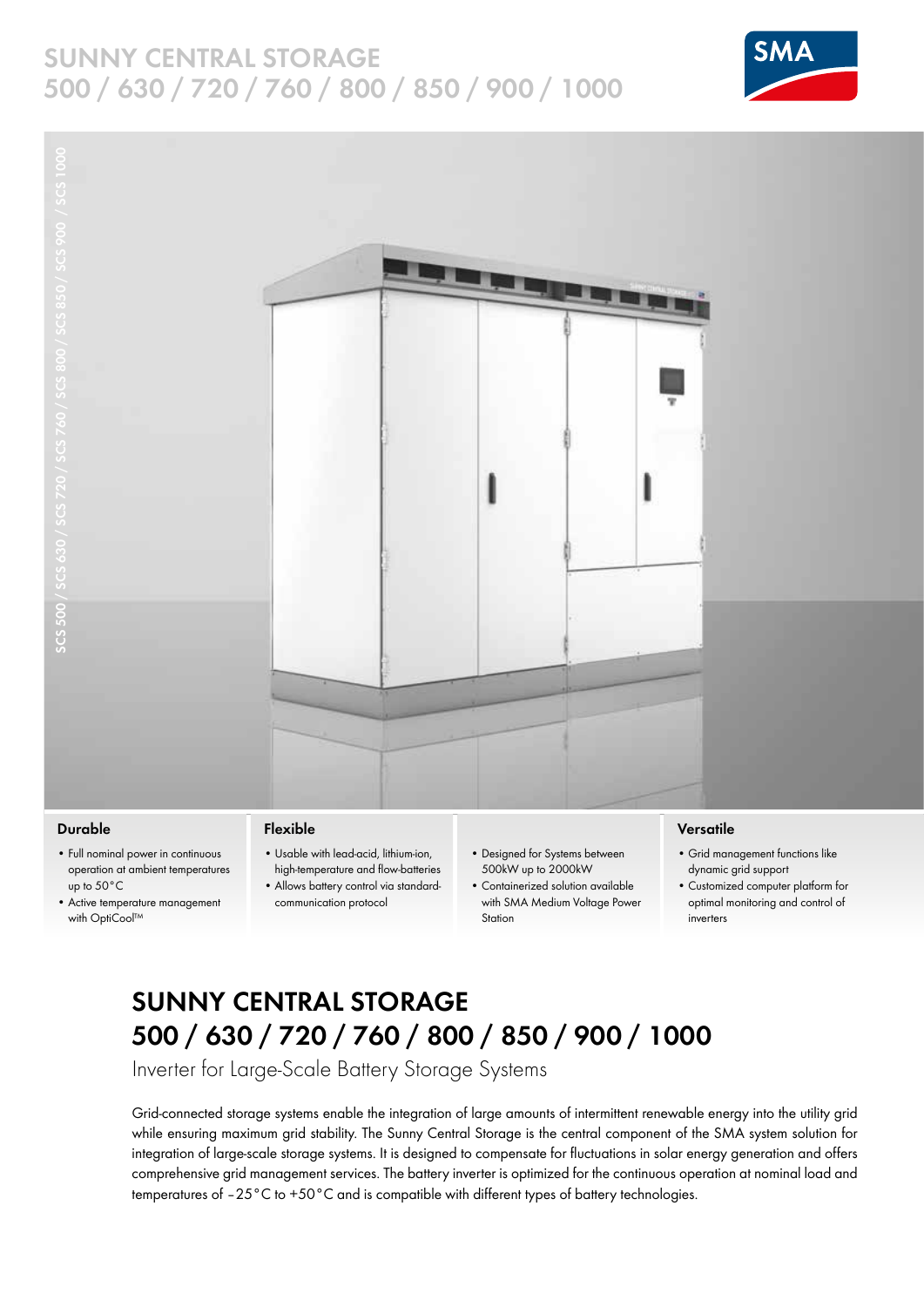### **SUNNY CENTRAL STORAGE 500 / 630 / 720 / 760 / 800 / 850 / 900 / 1000**





### **Durable**

- Full nominal power in continuous operation at ambient temperatures up to 50°C
- • Active temperature management with OptiCool™

### **Flexible**

- • Usable with lead-acid, lithium-ion, high-temperature and flow-batteries
	- • Allows battery control via standardcommunication protocol
- Designed for Systems between 500kW up to 2000kW
- • Containerized solution available with SMA Medium Voltage Power **Station**

### **Versatile**

- • Grid management functions like dynamic grid support
- • Customized computer platform for optimal monitoring and control of inverters

## **SUNNY CENTRAL STORAGE 500 / 630 / 720 / 760 / 800 / 850 / 900 / 1000**

Inverter for Large-Scale Battery Storage Systems

Grid-connected storage systems enable the integration of large amounts of intermittent renewable energy into the utility grid while ensuring maximum grid stability. The Sunny Central Storage is the central component of the SMA system solution for integration of large-scale storage systems. It is designed to compensate for fluctuations in solar energy generation and offers comprehensive grid management services. The battery inverter is optimized for the continuous operation at nominal load and temperatures of –25°C to +50°C and is compatible with different types of battery technologies.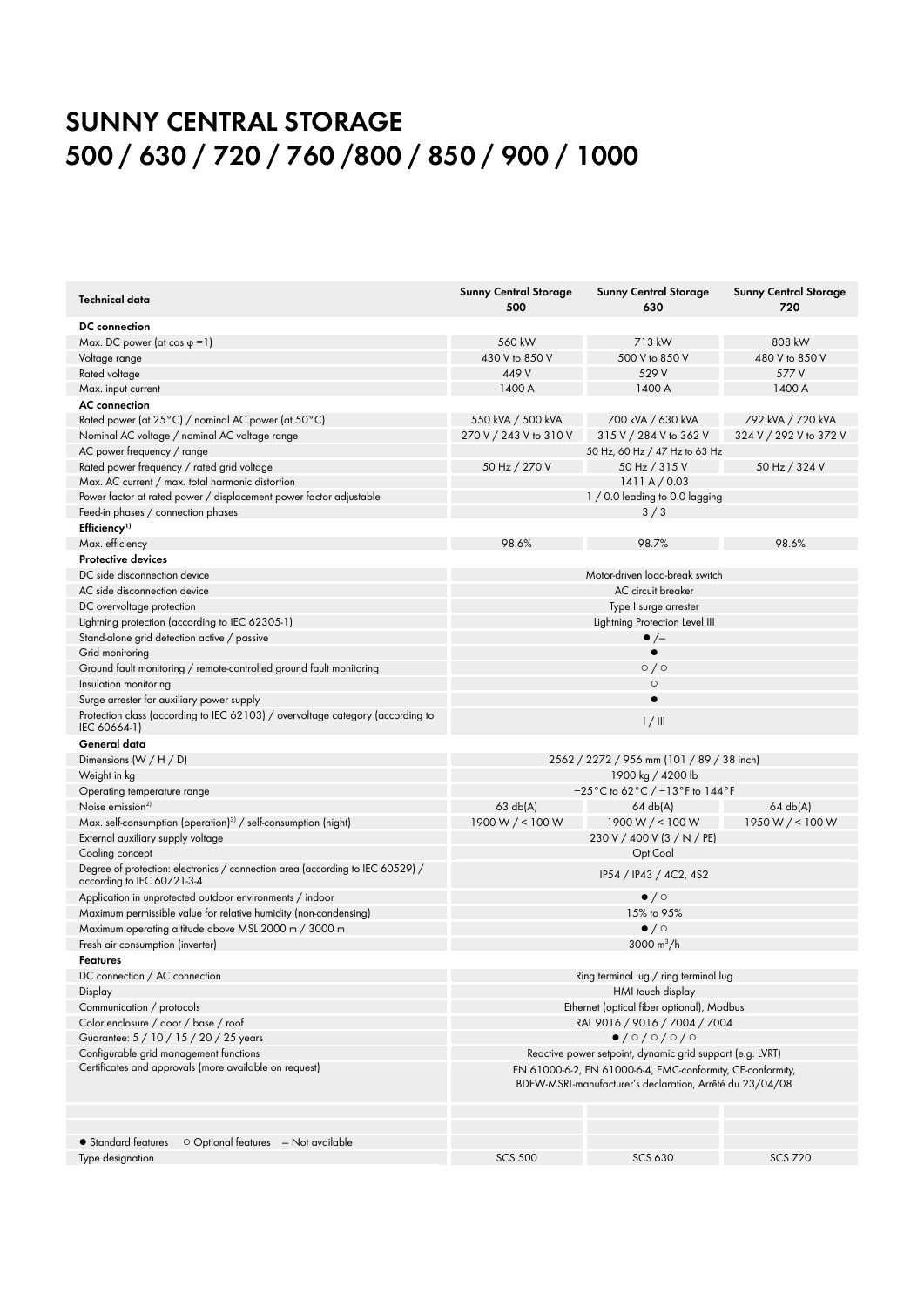# **SUNNY CENTRAL Storage 500 / 630 / 720 / 760 /800 / 850 / 900 / 1000**

| Technical data                                                                 | <b>Sunny Central Storage</b><br>500                        | <b>Sunny Central Storage</b><br>630   | <b>Sunny Central Storage</b><br>720 |
|--------------------------------------------------------------------------------|------------------------------------------------------------|---------------------------------------|-------------------------------------|
| <b>DC</b> connection                                                           |                                                            |                                       |                                     |
| Max. DC power (at cos $\varphi = 1$ )                                          | 560 kW                                                     | 713 kW                                | 808 kW                              |
| Voltage range                                                                  | 430 V to 850 V                                             | 500 V to 850 V                        | 480 V to 850 V                      |
| Rated voltage                                                                  | 449 V                                                      | 529 V                                 | 577 V                               |
| Max. input current                                                             | 1400 A                                                     | 1400 A                                | 1400 A                              |
| <b>AC</b> connection                                                           |                                                            |                                       |                                     |
| Rated power (at 25°C) / nominal AC power (at 50°C)                             | 550 kVA / 500 kVA                                          | 700 kVA / 630 kVA                     | 792 kVA / 720 kVA                   |
| Nominal AC voltage / nominal AC voltage range                                  | 270 V / 243 V to 310 V                                     | 315 V / 284 V to 362 V                | 324 V / 292 V to 372 V              |
| AC power frequency / range                                                     |                                                            | 50 Hz, 60 Hz / 47 Hz to 63 Hz         |                                     |
| Rated power frequency / rated grid voltage                                     | 50 Hz / 270 V                                              | 50 Hz / 315 V                         | 50 Hz / 324 V                       |
| Max. AC current / max. total harmonic distortion                               |                                                            | 1411A/0.03                            |                                     |
| Power factor at rated power / displacement power factor adjustable             | 1 / 0.0 leading to 0.0 lagging                             |                                       |                                     |
| Feed-in phases / connection phases                                             |                                                            | 3/3                                   |                                     |
| Efficiency <sup>1)</sup>                                                       |                                                            |                                       |                                     |
| Max. efficiency                                                                | 98.6%                                                      | 98.7%                                 | 98.6%                               |
| <b>Protective devices</b>                                                      |                                                            |                                       |                                     |
| DC side disconnection device                                                   |                                                            | Motor-driven load-break switch        |                                     |
| AC side disconnection device                                                   |                                                            | AC circuit breaker                    |                                     |
| DC overvoltage protection                                                      |                                                            | Type I surge arrester                 |                                     |
| Lightning protection (according to IEC 62305-1)                                |                                                            | Lightning Protection Level III        |                                     |
| Stand-alone grid detection active / passive                                    |                                                            | $\bullet$ /-                          |                                     |
| Grid monitoring                                                                |                                                            | $\bullet$                             |                                     |
| Ground fault monitoring / remote-controlled ground fault monitoring            | $\circ$ / $\circ$                                          |                                       |                                     |
| Insulation monitoring                                                          |                                                            | $\circ$                               |                                     |
| Surge arrester for auxiliary power supply                                      |                                                            |                                       |                                     |
| Protection class (according to IEC 62103) / overvoltage category (according to |                                                            |                                       |                                     |
| IEC 60664-1)                                                                   |                                                            | 1/111                                 |                                     |
| General data                                                                   |                                                            |                                       |                                     |
| Dimensions $(W/H/D)$                                                           | 2562 / 2272 / 956 mm (101 / 89 / 38 inch)                  |                                       |                                     |
| Weight in kg                                                                   | 1900 kg / 4200 lb                                          |                                       |                                     |
| Operating temperature range                                                    |                                                            | -25°C to 62°C / -13°F to 144°F        |                                     |
| Noise emission <sup>2)</sup>                                                   | 63 db(A)                                                   | $64 \text{ db}(A)$                    | 64 db(A)                            |
| Max. self-consumption (operation) <sup>3)</sup> / self-consumption (night)     | 1900 W $/$ < 100 W                                         | 1900 W $/$ < 100 W                    | 1950 W / < 100 W                    |
| External auxiliary supply voltage                                              |                                                            | 230 V / 400 V (3 / N / PE)            |                                     |
| Cooling concept                                                                |                                                            | OptiCool                              |                                     |
| Degree of protection: electronics / connection area (according to IEC 60529) / |                                                            |                                       |                                     |
| according to IEC 60721-3-4                                                     |                                                            | IP54 / IP43 / 4C2, 4S2                |                                     |
| Application in unprotected outdoor environments / indoor                       | $\bullet$ / $\circ$                                        |                                       |                                     |
| Maximum permissible value for relative humidity (non-condensing)               | 15% to 95%                                                 |                                       |                                     |
| Maximum operating altitude above MSL 2000 m / 3000 m                           |                                                            | $\bullet$ / $\circ$                   |                                     |
| Fresh air consumption (inverter)                                               | 3000 $m^3/h$                                               |                                       |                                     |
| Features                                                                       |                                                            |                                       |                                     |
| DC connection / AC connection                                                  |                                                            | Ring terminal lug / ring terminal lug |                                     |
| Display                                                                        | HMI touch display                                          |                                       |                                     |
| Communication / protocols                                                      | Ethernet (optical fiber optional), Modbus                  |                                       |                                     |
| Color enclosure / door / base / roof                                           | RAL 9016 / 9016 / 7004 / 7004                              |                                       |                                     |
| Guarantee: 5 / 10 / 15 / 20 / 25 years                                         | $\bullet$ /0/0/0/0                                         |                                       |                                     |
| Configurable grid management functions                                         | Reactive power setpoint, dynamic grid support (e.g. LVRT)  |                                       |                                     |
| Certificates and approvals (more available on request)                         | EN 61000-6-2, EN 61000-6-4, EMC-conformity, CE-conformity, |                                       |                                     |
|                                                                                | BDEW-MSRL-manufacturer's declaration, Arrêté du 23/04/08   |                                       |                                     |
|                                                                                |                                                            |                                       |                                     |
|                                                                                |                                                            |                                       |                                     |
|                                                                                |                                                            |                                       |                                     |
| • Standard features<br>$\circ$ Optional features $-$ Not available             |                                                            |                                       |                                     |
| Type designation                                                               | <b>SCS 500</b>                                             | <b>SCS 630</b>                        | <b>SCS 720</b>                      |
|                                                                                |                                                            |                                       |                                     |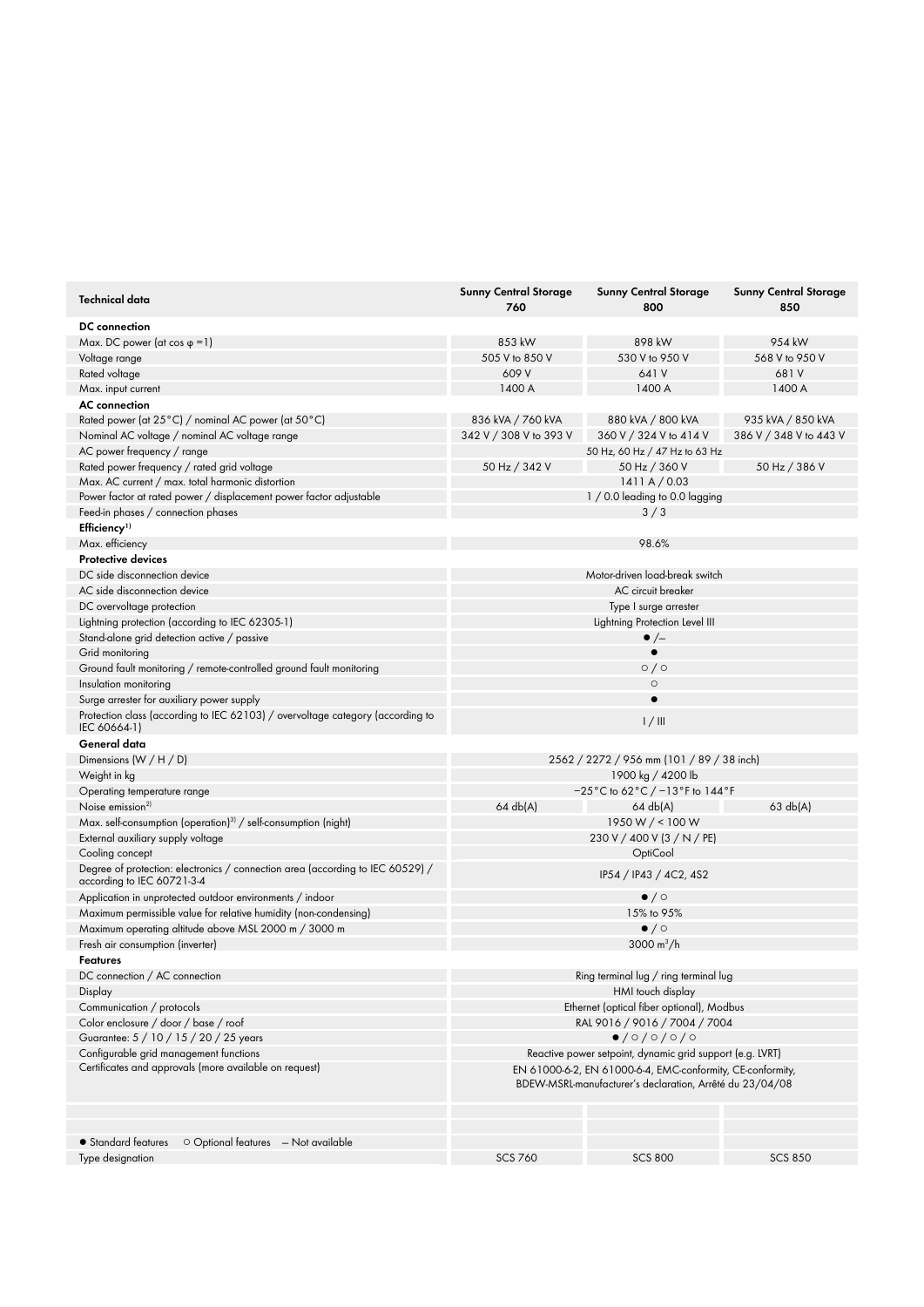| Technical data                                                                                               | <b>Sunny Central Storage</b><br>760                                                                                    | <b>Sunny Central Storage</b><br>800                                      | <b>Sunny Central Storage</b><br>850 |
|--------------------------------------------------------------------------------------------------------------|------------------------------------------------------------------------------------------------------------------------|--------------------------------------------------------------------------|-------------------------------------|
| <b>DC</b> connection                                                                                         |                                                                                                                        |                                                                          |                                     |
| Max. DC power (at cos $\varphi$ = 1)                                                                         | 853 kW                                                                                                                 | 898 kW                                                                   | 954 kW                              |
| Voltage range                                                                                                | 505 V to 850 V                                                                                                         | 530 V to 950 V                                                           | 568 V to 950 V                      |
| Rated voltage                                                                                                | 609 V                                                                                                                  | 641 V                                                                    | 681V                                |
| Max. input current                                                                                           | 1400 A                                                                                                                 | 1400 A                                                                   | 1400 A                              |
| <b>AC</b> connection                                                                                         |                                                                                                                        |                                                                          |                                     |
| Rated power (at 25°C) / nominal AC power (at 50°C)                                                           | 836 kVA / 760 kVA                                                                                                      | 880 kVA / 800 kVA                                                        | 935 kVA / 850 kVA                   |
| Nominal AC voltage / nominal AC voltage range                                                                | 342 V / 308 V to 393 V                                                                                                 | 360 V / 324 V to 414 V                                                   | 386 V / 348 V to 443 V              |
| AC power frequency / range                                                                                   |                                                                                                                        | 50 Hz, 60 Hz / 47 Hz to 63 Hz                                            |                                     |
| Rated power frequency / rated grid voltage                                                                   | 50 Hz / 342 V                                                                                                          | 50 Hz / 360 V                                                            | 50 Hz / 386 V                       |
| Max. AC current / max. total harmonic distortion                                                             |                                                                                                                        | 1411A/0.03                                                               |                                     |
| Power factor at rated power / displacement power factor adjustable                                           | 1 / 0.0 leading to 0.0 lagging                                                                                         |                                                                          |                                     |
| Feed-in phases / connection phases                                                                           | 3/3                                                                                                                    |                                                                          |                                     |
| Efficiency <sup>1)</sup>                                                                                     |                                                                                                                        |                                                                          |                                     |
| Max. efficiency                                                                                              |                                                                                                                        | 98.6%                                                                    |                                     |
| <b>Protective devices</b>                                                                                    |                                                                                                                        |                                                                          |                                     |
| DC side disconnection device                                                                                 |                                                                                                                        | Motor-driven load-break switch                                           |                                     |
| AC side disconnection device                                                                                 |                                                                                                                        | AC circuit breaker                                                       |                                     |
| DC overvoltage protection                                                                                    |                                                                                                                        | Type I surge arrester                                                    |                                     |
| Lightning protection (according to IEC 62305-1)                                                              |                                                                                                                        | Lightning Protection Level III                                           |                                     |
| Stand-alone grid detection active / passive                                                                  |                                                                                                                        | $\bullet$ /-                                                             |                                     |
| Grid monitoring                                                                                              |                                                                                                                        |                                                                          |                                     |
| Ground fault monitoring / remote-controlled ground fault monitoring                                          | $\circ$ / $\circ$                                                                                                      |                                                                          |                                     |
| Insulation monitoring                                                                                        |                                                                                                                        | $\circ$                                                                  |                                     |
| Surge arrester for auxiliary power supply                                                                    |                                                                                                                        | $\bullet$                                                                |                                     |
| Protection class (according to IEC 62103) / overvoltage category (according to<br>IEC 60664-1)               | 1/111                                                                                                                  |                                                                          |                                     |
| General data                                                                                                 |                                                                                                                        |                                                                          |                                     |
| Dimensions $(W/H/D)$                                                                                         | 2562 / 2272 / 956 mm (101 / 89 / 38 inch)                                                                              |                                                                          |                                     |
| Weight in kg                                                                                                 | 1900 kg / 4200 lb                                                                                                      |                                                                          |                                     |
| Operating temperature range                                                                                  |                                                                                                                        | $-25^{\circ}$ C to 62 $^{\circ}$ C / $-13^{\circ}$ F to 144 $^{\circ}$ F |                                     |
| Noise emission <sup>2)</sup>                                                                                 | 64 db(A)                                                                                                               | $64 \text{ db}(A)$                                                       | 63 db(A)                            |
| Max. self-consumption (operation) <sup>3)</sup> / self-consumption (night)                                   |                                                                                                                        | 1950 W / < 100 W                                                         |                                     |
| External auxiliary supply voltage                                                                            |                                                                                                                        | 230 V / 400 V (3 / N / PE)                                               |                                     |
| Cooling concept                                                                                              |                                                                                                                        | OptiCool                                                                 |                                     |
| Degree of protection: electronics / connection area (according to IEC 60529) /<br>according to IEC 60721-3-4 |                                                                                                                        | IP54 / IP43 / 4C2, 4S2                                                   |                                     |
| Application in unprotected outdoor environments / indoor                                                     | $\bullet$ / $\circ$                                                                                                    |                                                                          |                                     |
| Maximum permissible value for relative humidity (non-condensing)                                             | 15% to 95%                                                                                                             |                                                                          |                                     |
| Maximum operating altitude above MSL 2000 m / 3000 m                                                         | $\bullet$ / $\circ$                                                                                                    |                                                                          |                                     |
| Fresh air consumption (inverter)                                                                             |                                                                                                                        | 3000 $m^3/h$                                                             |                                     |
| Features                                                                                                     |                                                                                                                        |                                                                          |                                     |
| DC connection / AC connection                                                                                | Ring terminal lug / ring terminal lug                                                                                  |                                                                          |                                     |
| Display                                                                                                      | HMI touch display                                                                                                      |                                                                          |                                     |
| Communication / protocols                                                                                    | Ethernet (optical fiber optional), Modbus                                                                              |                                                                          |                                     |
| Color enclosure / door / base / roof                                                                         | RAL 9016 / 9016 / 7004 / 7004                                                                                          |                                                                          |                                     |
| Guarantee: 5 / 10 / 15 / 20 / 25 years                                                                       | 0/0/0/0/0                                                                                                              |                                                                          |                                     |
| Configurable grid management functions                                                                       | Reactive power setpoint, dynamic grid support (e.g. LVRT)                                                              |                                                                          |                                     |
| Certificates and approvals (more available on request)                                                       | EN 61000-6-2, EN 61000-6-4, EMC-conformity, CE-conformity,<br>BDEW-MSRL-manufacturer's declaration, Arrêté du 23/04/08 |                                                                          |                                     |
|                                                                                                              |                                                                                                                        |                                                                          |                                     |
| • Standard features<br>$\circ$ Optional features $-$ Not available                                           |                                                                                                                        |                                                                          |                                     |
| Type designation                                                                                             | <b>SCS 760</b>                                                                                                         | <b>SCS 800</b>                                                           | <b>SCS 850</b>                      |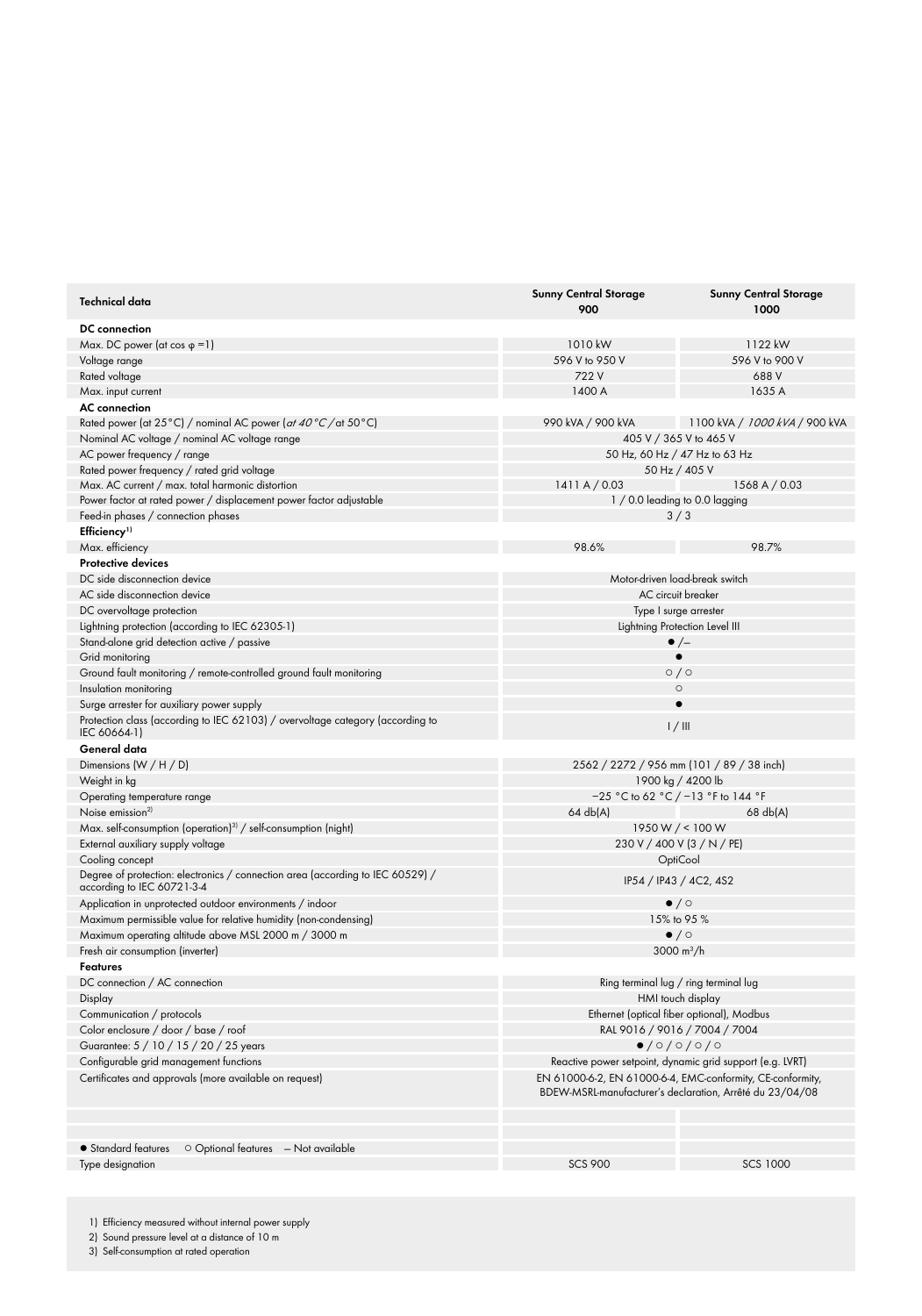| Technical data                                                                                                                              | <b>Sunny Central Storage</b><br>900                                                                                    | <b>Sunny Central Storage</b><br>1000                      |  |
|---------------------------------------------------------------------------------------------------------------------------------------------|------------------------------------------------------------------------------------------------------------------------|-----------------------------------------------------------|--|
| <b>DC</b> connection                                                                                                                        |                                                                                                                        |                                                           |  |
| Max. DC power (at cos $\varphi$ = 1)                                                                                                        | 1010 kW                                                                                                                | 1122 kW                                                   |  |
| Voltage range                                                                                                                               | 596 V to 950 V                                                                                                         | 596 V to 900 V                                            |  |
| Rated voltage                                                                                                                               | 722 V                                                                                                                  | 688 V                                                     |  |
| Max. input current                                                                                                                          | 1400 A                                                                                                                 | 1635 A                                                    |  |
| <b>AC</b> connection                                                                                                                        |                                                                                                                        |                                                           |  |
| Rated power (at 25°C) / nominal AC power ( <i>at 40°C</i> / at 50°C)                                                                        | 990 kVA / 900 kVA                                                                                                      | 1100 kVA <i>  1000 kVA  </i> 900 kVA                      |  |
| Nominal AC voltage / nominal AC voltage range                                                                                               | 405 V / 365 V to 465 V                                                                                                 |                                                           |  |
| AC power frequency / range                                                                                                                  | 50 Hz, 60 Hz / 47 Hz to 63 Hz                                                                                          |                                                           |  |
| Rated power frequency / rated grid voltage                                                                                                  |                                                                                                                        | 50 Hz / 405 V                                             |  |
| Max. AC current / max. total harmonic distortion                                                                                            | 1411A/0.03                                                                                                             | 1568 A / 0.03                                             |  |
| Power factor at rated power / displacement power factor adjustable                                                                          |                                                                                                                        | $1/0.0$ leading to 0.0 lagging                            |  |
| Feed-in phases / connection phases                                                                                                          |                                                                                                                        | 3/3                                                       |  |
| Efficiency <sup>1)</sup>                                                                                                                    |                                                                                                                        |                                                           |  |
| Max. efficiency                                                                                                                             | 98.6%                                                                                                                  | 98.7%                                                     |  |
| <b>Protective devices</b>                                                                                                                   |                                                                                                                        |                                                           |  |
| DC side disconnection device                                                                                                                |                                                                                                                        | Motor-driven load-break switch                            |  |
| AC side disconnection device                                                                                                                | AC circuit breaker                                                                                                     |                                                           |  |
| DC overvoltage protection                                                                                                                   |                                                                                                                        | Type I surge arrester                                     |  |
| Lightning protection (according to IEC 62305-1)                                                                                             |                                                                                                                        | Lightning Protection Level III                            |  |
| Stand-alone grid detection active / passive                                                                                                 | $\bullet$ /-                                                                                                           |                                                           |  |
| Grid monitoring                                                                                                                             |                                                                                                                        |                                                           |  |
| Ground fault monitoring / remote-controlled ground fault monitoring                                                                         | $\circ$ / $\circ$                                                                                                      |                                                           |  |
| Insulation monitoring                                                                                                                       |                                                                                                                        | $\circ$                                                   |  |
| Surge arrester for auxiliary power supply<br>Protection class (according to IEC 62103) / overvoltage category (according to<br>IEC 60664-1) | 1/11                                                                                                                   |                                                           |  |
| General data                                                                                                                                |                                                                                                                        |                                                           |  |
| Dimensions $(W/H/D)$                                                                                                                        |                                                                                                                        | 2562 / 2272 / 956 mm (101 / 89 / 38 inch)                 |  |
| Weight in kg                                                                                                                                | 1900 kg / 4200 lb                                                                                                      |                                                           |  |
| Operating temperature range                                                                                                                 |                                                                                                                        | $-25$ °C to 62 °C / $-13$ °F to 144 °F                    |  |
| Noise emission <sup>2)</sup>                                                                                                                | $64 \text{ db}(A)$                                                                                                     | $68$ db(A)                                                |  |
| Max. self-consumption (operation) <sup>3)</sup> / self-consumption (night)                                                                  |                                                                                                                        | 1950 W $/$ < 100 W                                        |  |
| External auxiliary supply voltage                                                                                                           |                                                                                                                        | 230 V / 400 V (3 / N / PE)                                |  |
| Cooling concept                                                                                                                             |                                                                                                                        | OptiCool                                                  |  |
| Degree of protection: electronics / connection area (according to IEC 60529) /<br>according to IEC 60721-3-4                                | IP54 / IP43 / 4C2, 4S2                                                                                                 |                                                           |  |
| Application in unprotected outdoor environments / indoor                                                                                    |                                                                                                                        | $\bullet$ / $\circ$                                       |  |
| Maximum permissible value for relative humidity (non-condensing)                                                                            | 15% to 95 %                                                                                                            |                                                           |  |
| Maximum operating altitude above MSL 2000 m / 3000 m                                                                                        | $\bullet$ / $\circ$                                                                                                    |                                                           |  |
| Fresh air consumption (inverter)                                                                                                            |                                                                                                                        | 3000 m <sup>3</sup> /h                                    |  |
| Features                                                                                                                                    |                                                                                                                        |                                                           |  |
| DC connection / AC connection                                                                                                               |                                                                                                                        | Ring terminal lug / ring terminal lug                     |  |
| Display                                                                                                                                     | HMI touch display                                                                                                      |                                                           |  |
| Communication / protocols                                                                                                                   | Ethernet (optical fiber optional), Modbus                                                                              |                                                           |  |
| Color enclosure / door / base / roof                                                                                                        | RAL 9016 / 9016 / 7004 / 7004                                                                                          |                                                           |  |
| Guarantee: 5 / 10 / 15 / 20 / 25 years                                                                                                      | $\bullet$ /0/0/0/0                                                                                                     |                                                           |  |
| Configurable grid management functions                                                                                                      |                                                                                                                        | Reactive power setpoint, dynamic grid support (e.g. LVRT) |  |
| Certificates and approvals (more available on request)                                                                                      | EN 61000-6-2, EN 61000-6-4, EMC-conformity, CE-conformity,<br>BDEW-MSRL-manufacturer's declaration, Arrêté du 23/04/08 |                                                           |  |
|                                                                                                                                             |                                                                                                                        |                                                           |  |
| • Standard features<br>$\circ$ Optional features $-$ Not available                                                                          |                                                                                                                        |                                                           |  |
| Type designation                                                                                                                            | <b>SCS 900</b>                                                                                                         | <b>SCS 1000</b>                                           |  |
|                                                                                                                                             |                                                                                                                        |                                                           |  |

<sup>1)</sup> Efficiency measured without internal power supply

2) Sound pressure level at a distance of 10 m

3) Self-consumption at rated operation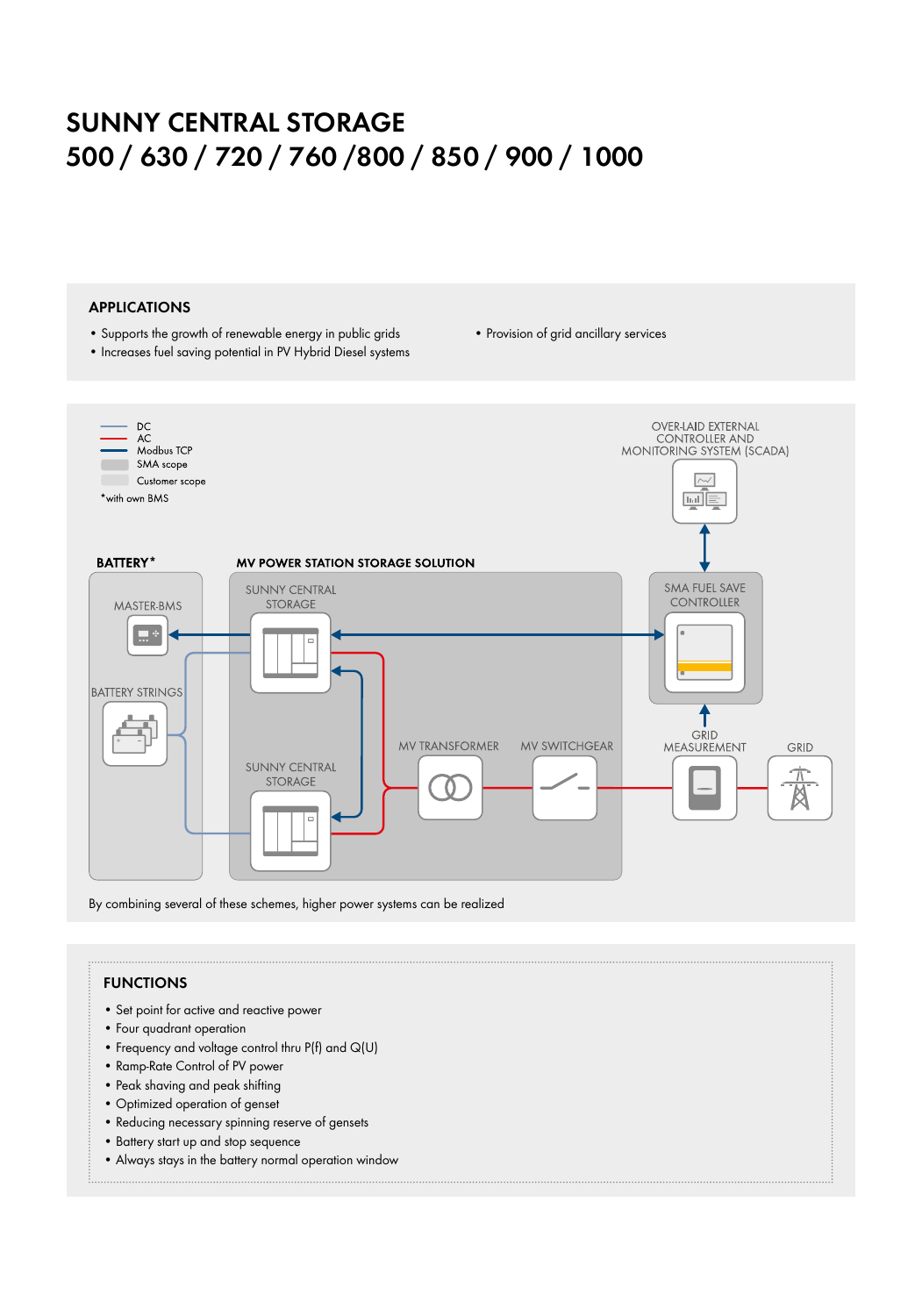## **SUNNY CENTRAL Storage 500 / 630 / 720 / 760 /800 / 850 / 900 / 1000**

### **APPLICATIONS**

- • Supports the growth of renewable energy in public grids
- Increases fuel saving potential in PV Hybrid Diesel systems • Provision of grid ancillary services



By combining several of these schemes, higher power systems can be realized

### **FUNCTIONS**

- • Set point for active and reactive power
- • Four quadrant operation
- Frequency and voltage control thru  $P(f)$  and  $Q(U)$
- • Ramp-Rate Control of PV power
- • Peak shaving and peak shifting
- • Optimized operation of genset
- Reducing necessary spinning reserve of gensets
- • Battery start up and stop sequence
- • Always stays in the battery normal operation window